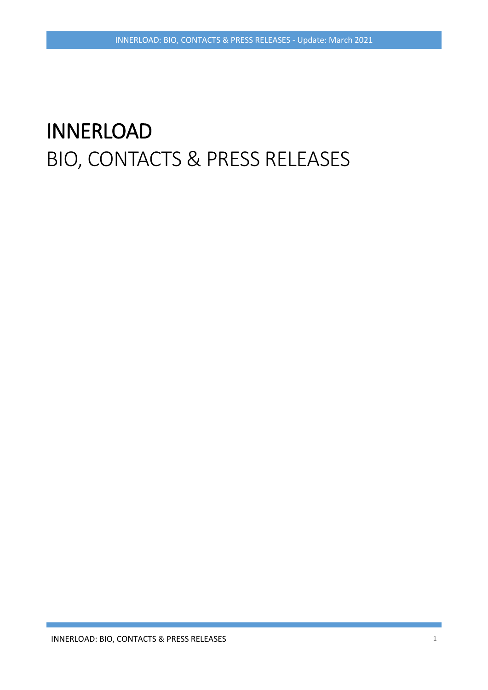# INNERLOAD BIO, CONTACTS & PRESS RELEASES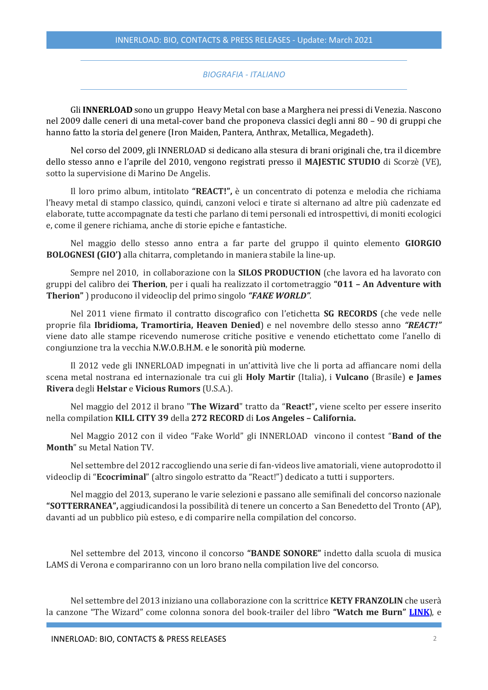#### *BIOGRAFIA - ITALIANO*

Gli **INNERLOAD** sono un gruppo Heavy Metal con base a Marghera nei pressi di Venezia. Nascono nel 2009 dalle ceneri di una metal-cover band che proponeva classici degli anni 80 – 90 di gruppi che hanno fatto la storia del genere (Iron Maiden, Pantera, Anthrax, Metallica, Megadeth).

Nel corso del 2009, gli INNERLOAD si dedicano alla stesura di brani originali che, tra il dicembre dello stesso anno e l'aprile del 2010, vengono registrati presso il **MAJESTIC STUDIO** di Scorzè (VE), sotto la supervisione di Marino De Angelis.

Il loro primo album, intitolato **"REACT!",** è un concentrato di potenza e melodia che richiama l'heavy metal di stampo classico, quindi, canzoni veloci e tirate si alternano ad altre più cadenzate ed elaborate, tutte accompagnate da testi che parlano di temi personali ed introspettivi, di moniti ecologici e, come il genere richiama, anche di storie epiche e fantastiche.

Nel maggio dello stesso anno entra a far parte del gruppo il quinto elemento **GIORGIO BOLOGNESI (GIO')** alla chitarra, completando in maniera stabile la line-up.

Sempre nel 2010, in collaborazione con la **SILOS PRODUCTION** (che lavora ed ha lavorato con gruppi del calibro dei **Therion**, per i quali ha realizzato il cortometraggio **"011 – An Adventure with Therion"** ) producono il videoclip del primo singolo *"FAKE WORLD"*.

Nel 2011 viene firmato il contratto discografico con l'etichetta **SG RECORDS** (che vede nelle proprie fila **Ibridioma, Tramortiria, Heaven Denied**) e nel novembre dello stesso anno *"REACT!"* viene dato alle stampe ricevendo numerose critiche positive e venendo etichettato come l'anello di congiunzione tra la vecchia N.W.O.B.H.M. e le sonorità più moderne.

Il 2012 vede gli INNERLOAD impegnati in un'attività live che li porta ad affiancare nomi della scena metal nostrana ed internazionale tra cui gli **Holy Martir** (Italia), i **Vulcano** (Brasile) **e James Rivera** degli **Helstar** e **Vicious Rumors** (U.S.A.).

Nel maggio del 2012 il brano "**The Wizard**" tratto da "**React!**"**,** viene scelto per essere inserito nella compilation **KILL CITY 39** della **272 RECORD** di **Los Angeles – California.**

Nel Maggio 2012 con il video "Fake World" gli INNERLOAD vincono il contest "**Band of the Month**" su Metal Nation TV.

Nel settembre del 2012 raccogliendo una serie di fan-videos live amatoriali, viene autoprodotto il videoclip di "**Ecocriminal**" (altro singolo estratto da "React!") dedicato a tutti i supporters.

Nel maggio del 2013, superano le varie selezioni e passano alle semifinali del concorso nazionale **"SOTTERRANEA",** aggiudicandosi la possibilità di tenere un concerto a San Benedetto del Tronto (AP), davanti ad un pubblico più esteso, e di comparire nella compilation del concorso.

Nel settembre del 2013, vincono il concorso **"BANDE SONORE"** indetto dalla scuola di musica LAMS di Verona e compariranno con un loro brano nella compilation live del concorso.

Nel settembre del 2013 iniziano una collaborazione con la scrittrice **KETY FRANZOLIN** che userà la canzone "The Wizard" come colonna sonora del book-trailer del libro **"Watch me Burn" [LINK](http://www.youtube.com/results?search_query=kety+franzolin&sm=1)**), e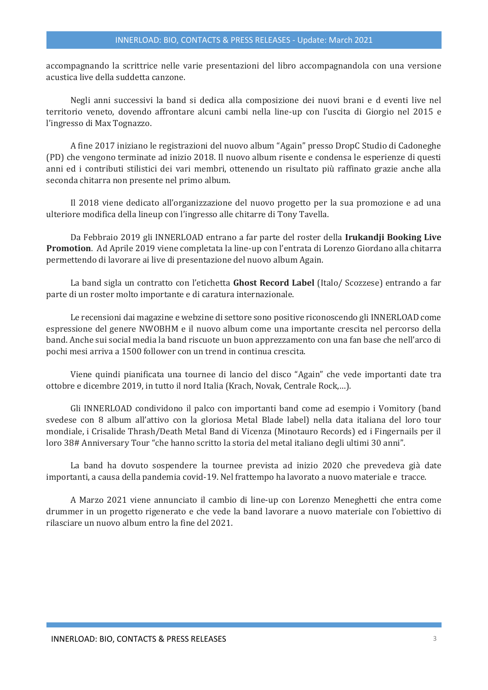accompagnando la scrittrice nelle varie presentazioni del libro accompagnandola con una versione acustica live della suddetta canzone.

Negli anni successivi la band si dedica alla composizione dei nuovi brani e d eventi live nel territorio veneto, dovendo affrontare alcuni cambi nella line-up con l'uscita di Giorgio nel 2015 e l'ingresso di Max Tognazzo.

A fine 2017 iniziano le registrazioni del nuovo album "Again" presso DropC Studio di Cadoneghe (PD) che vengono terminate ad inizio 2018. Il nuovo album risente e condensa le esperienze di questi anni ed i contributi stilistici dei vari membri, ottenendo un risultato più raffinato grazie anche alla seconda chitarra non presente nel primo album.

Il 2018 viene dedicato all'organizzazione del nuovo progetto per la sua promozione e ad una ulteriore modifica della lineup con l'ingresso alle chitarre di Tony Tavella.

Da Febbraio 2019 gli INNERLOAD entrano a far parte del roster della **Irukandji Booking Live Promotion**. Ad Aprile 2019 viene completata la line-up con l'entrata di Lorenzo Giordano alla chitarra permettendo di lavorare ai live di presentazione del nuovo album Again.

La band sigla un contratto con l'etichetta **Ghost Record Label** (Italo/ Scozzese) entrando a far parte di un roster molto importante e di caratura internazionale.

Le recensioni dai magazine e webzine di settore sono positive riconoscendo gli INNERLOAD come espressione del genere NWOBHM e il nuovo album come una importante crescita nel percorso della band. Anche sui social media la band riscuote un buon apprezzamento con una fan base che nell'arco di pochi mesi arriva a 1500 follower con un trend in continua crescita.

Viene quindi pianificata una tournee di lancio del disco "Again" che vede importanti date tra ottobre e dicembre 2019, in tutto il nord Italia (Krach, Novak, Centrale Rock,…).

Gli INNERLOAD condividono il palco con importanti band come ad esempio i Vomitory (band svedese con 8 album all'attivo con la gloriosa Metal Blade label) nella data italiana del loro tour mondiale, i Crisalide Thrash/Death Metal Band di Vicenza (Minotauro Records) ed i Fingernails per il loro 38# Anniversary Tour "che hanno scritto la storia del metal italiano degli ultimi 30 anni".

La band ha dovuto sospendere la tournee prevista ad inizio 2020 che prevedeva già date importanti, a causa della pandemia covid-19. Nel frattempo ha lavorato a nuovo materiale e tracce.

A Marzo 2021 viene annunciato il cambio di line-up con Lorenzo Meneghetti che entra come drummer in un progetto rigenerato e che vede la band lavorare a nuovo materiale con l'obiettivo di rilasciare un nuovo album entro la fine del 2021.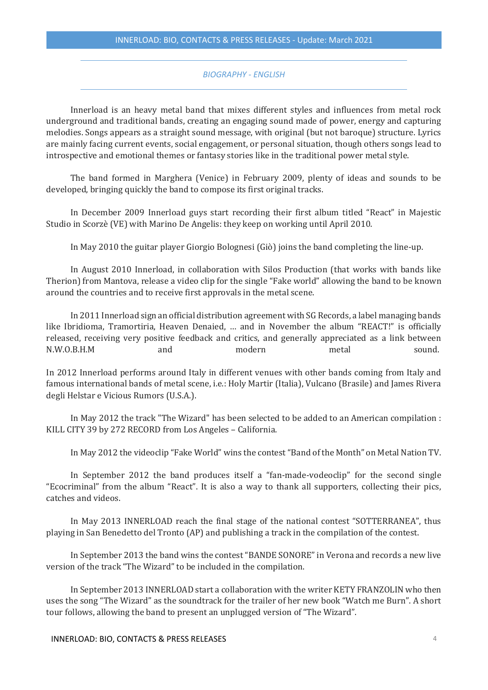#### *BIOGRAPHY - ENGLISH*

Innerload is an heavy metal band that mixes different styles and influences from metal rock underground and traditional bands, creating an engaging sound made of power, energy and capturing melodies. Songs appears as a straight sound message, with original (but not baroque) structure. Lyrics are mainly facing current events, social engagement, or personal situation, though others songs lead to introspective and emotional themes or fantasy stories like in the traditional power metal style.

The band formed in Marghera (Venice) in February 2009, plenty of ideas and sounds to be developed, bringing quickly the band to compose its first original tracks.

In December 2009 Innerload guys start recording their first album titled "React" in Majestic Studio in Scorzè (VE) with Marino De Angelis: they keep on working until April 2010.

In May 2010 the guitar player Giorgio Bolognesi (Giò) joins the band completing the line-up.

In August 2010 Innerload, in collaboration with Silos Production (that works with bands like Therion) from Mantova, release a video clip for the single "Fake world" allowing the band to be known around the countries and to receive first approvals in the metal scene.

In 2011 Innerload sign an official distribution agreement with SG Records, a label managing bands like Ibridioma, Tramortiria, Heaven Denaied, … and in November the album "REACT!" is officially released, receiving very positive feedback and critics, and generally appreciated as a link between N.W.O.B.H.M and modern metal sound.

In 2012 Innerload performs around Italy in different venues with other bands coming from Italy and famous international bands of metal scene, i.e.: Holy Martir (Italia), Vulcano (Brasile) and James Rivera degli Helstar e Vicious Rumors (U.S.A.).

In May 2012 the track "The Wizard" has been selected to be added to an American compilation : KILL CITY 39 by 272 RECORD from Los Angeles – California.

In May 2012 the videoclip "Fake World" wins the contest "Band of the Month" on Metal Nation TV.

In September 2012 the band produces itself a "fan-made-vodeoclip" for the second single "Ecocriminal" from the album "React". It is also a way to thank all supporters, collecting their pics, catches and videos.

In May 2013 INNERLOAD reach the final stage of the national contest "SOTTERRANEA", thus playing in San Benedetto del Tronto (AP) and publishing a track in the compilation of the contest.

In September 2013 the band wins the contest "BANDE SONORE" in Verona and records a new live version of the track "The Wizard" to be included in the compilation.

In September 2013 INNERLOAD start a collaboration with the writer KETY FRANZOLIN who then uses the song "The Wizard" as the soundtrack for the trailer of her new book "Watch me Burn". A short tour follows, allowing the band to present an unplugged version of "The Wizard".

INNERLOAD: BIO, CONTACTS & PRESS RELEASES 4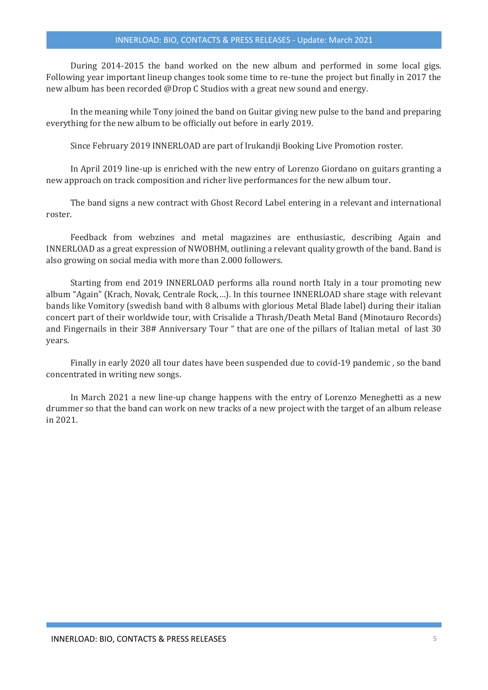#### INNERLOAD: BIO, CONTACTS & PRESS RELEASES - Update: March 2021

During 2014-2015 the band worked on the new album and performed in some local gigs. Following year important lineup changes took some time to re-tune the project but finally in 2017 the new album has been recorded @Drop C Studios with a great new sound and energy.

In the meaning while Tony joined the band on Guitar giving new pulse to the band and preparing everything for the new album to be officially out before in early 2019.

Since February 2019 INNERLOAD are part of Irukandji Booking Live Promotion roster.

In April 2019 line-up is enriched with the new entry of Lorenzo Giordano on guitars granting a new approach on track composition and richer live performances for the new album tour.

The band signs a new contract with Ghost Record Label entering in a relevant and international roster.

Feedback from webzines and metal magazines are enthusiastic, describing Again and INNERLOAD as a great expression of NWOBHM, outlining a relevant quality growth of the band. Band is also growing on social media with more than 2.000 followers.

Starting from end 2019 INNERLOAD performs alla round north Italy in a tour promoting new album "Again" (Krach, Novak, Centrale Rock,…). In this tournee INNERLOAD share stage with relevant bands like Vomitory (swedish band with 8 albums with glorious Metal Blade label) during their italian concert part of their worldwide tour, with Crisalide a Thrash/Death Metal Band (Minotauro Records) and Fingernails in their 38# Anniversary Tour " that are one of the pillars of Italian metal of last 30 years.

Finally in early 2020 all tour dates have been suspended due to covid-19 pandemic , so the band concentrated in writing new songs.

In March 2021 a new line-up change happens with the entry of Lorenzo Meneghetti as a new drummer so that the band can work on new tracks of a new project with the target of an album release in 2021.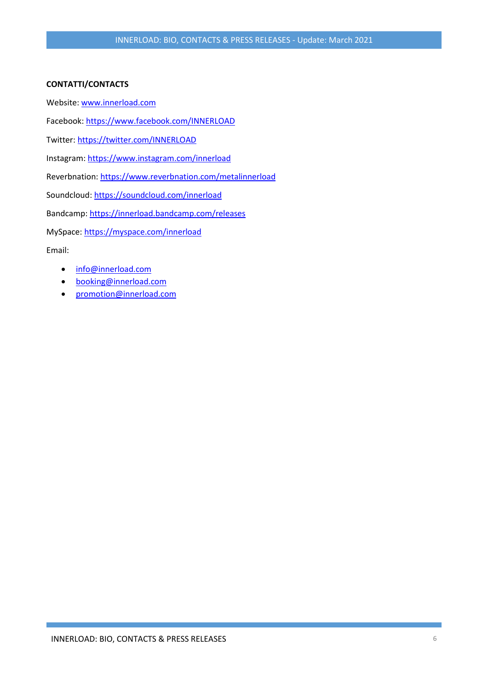## **CONTATTI/CONTACTS**

Website: [www.innerload.com](http://www.innerload.com/)

Facebook:<https://www.facebook.com/INNERLOAD>

Twitter: <https://twitter.com/INNERLOAD>

Instagram: <https://www.instagram.com/innerload>

Reverbnation:<https://www.reverbnation.com/metalinnerload>

Soundcloud: <https://soundcloud.com/innerload>

Bandcamp[: https://innerload.bandcamp.com/releases](https://innerload.bandcamp.com/releases)

MySpace[: https://myspace.com/innerload](https://myspace.com/innerload)

Email:

- [info@innerload.com](mailto:info@innerload.com)
- [booking@innerload.com](mailto:booking@innerload.com)
- [promotion@innerload.com](mailto:promotion@innerload.com)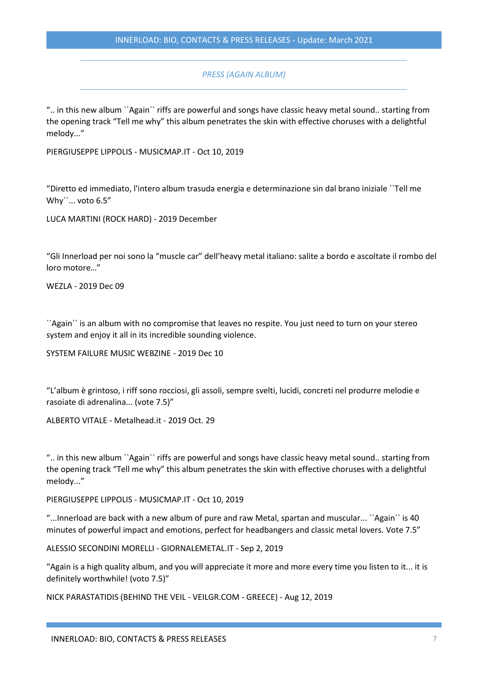## *PRESS (AGAIN ALBUM)*

".. in this new album ``Again`` riffs are powerful and songs have classic heavy metal sound.. starting from the opening track "Tell me why" this album penetrates the skin with effective choruses with a delightful melody..."

PIERGIUSEPPE LIPPOLIS - MUSICMAP.IT - Oct 10, 2019

"Diretto ed immediato, l'intero album trasuda energia e determinazione sin dal brano iniziale ``Tell me Why``... voto 6.5"

LUCA MARTINI (ROCK HARD) - 2019 December

"Gli Innerload per noi sono la "muscle car" dell'heavy metal italiano: salite a bordo e ascoltate il rombo del loro motore…"

WEZLA - 2019 Dec 09

``Again`` is an album with no compromise that leaves no respite. You just need to turn on your stereo system and enjoy it all in its incredible sounding violence.

SYSTEM FAILURE MUSIC WEBZINE - 2019 Dec 10

"L'album è grintoso, i riff sono rocciosi, gli assoli, sempre svelti, lucidi, concreti nel produrre melodie e rasoiate di adrenalina... (vote 7.5)"

ALBERTO VITALE - Metalhead.it - 2019 Oct. 29

".. in this new album ``Again`` riffs are powerful and songs have classic heavy metal sound.. starting from the opening track "Tell me why" this album penetrates the skin with effective choruses with a delightful melody..."

PIERGIUSEPPE LIPPOLIS - MUSICMAP.IT - Oct 10, 2019

"...Innerload are back with a new album of pure and raw Metal, spartan and muscular... ``Again`` is 40 minutes of powerful impact and emotions, perfect for headbangers and classic metal lovers. Vote 7.5"

ALESSIO SECONDINI MORELLI - GIORNALEMETAL.IT - Sep 2, 2019

"Again is a high quality album, and you will appreciate it more and more every time you listen to it... it is definitely worthwhile! (voto 7.5)"

NICK PARASTATIDIS (BEHIND THE VEIL - VEILGR.COM - GREECE) - Aug 12, 2019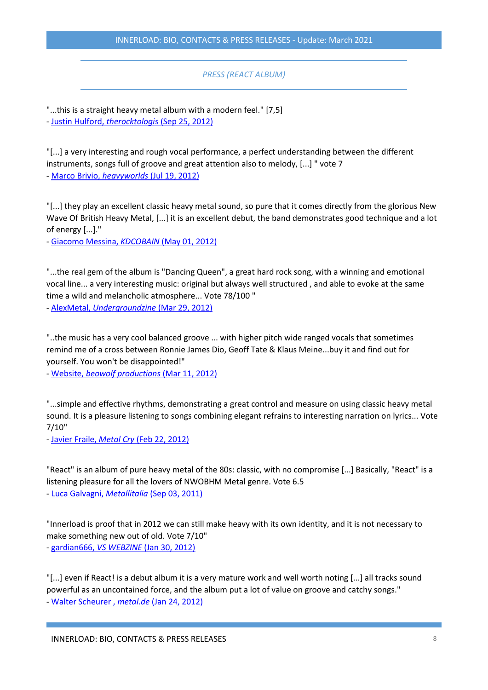# INNERLOAD: BIO, CONTACTS & PRESS RELEASES - Update: March 2021

## *PRESS (REACT ALBUM)*

"...this is a straight heavy metal album with a modern feel." [7,5] - [Justin Hulford,](http://www.therocktologist.com/innerload---react.html) *therocktologis* (Sep 25, 2012)

"[...] a very interesting and rough vocal performance, a perfect understanding between the different instruments, songs full of groove and great attention also to melody, [...] " vote 7

- [Marco Brivio,](http://www.heavyworlds.com/site/index.php/reviews/item/9244-innerload-react) *heavyworlds* (Jul 19, 2012)

"[...] they play an excellent classic heavy metal sound, so pure that it comes directly from the glorious New Wave Of British Heavy Metal, [...] it is an excellent debut, the band demonstrates good technique and a lot of energy [...]."

- [Giacomo Messina,](http://www.kdcobain.it/tutte-le-recensioni/270-innerload--react-recensione.html) *KDCOBAIN* (May 01, 2012)

"...the real gem of the album is "Dancing Queen", a great hard rock song, with a winning and emotional vocal line... a very interesting music: original but always well structured , and able to evoke at the same time a wild and melancholic atmosphere... Vote 78/100 "

- AlexMetal, *[Undergroundzine](http://www.undergroundzine.com/4/post/2012/03/innerload-react.html)* (Mar 29, 2012)

"..the music has a very cool balanced groove ... with higher pitch wide ranged vocals that sometimes remind me of a cross between Ronnie James Dio, Geoff Tate & Klaus Meine...buy it and find out for yourself. You won't be disappointed!"

- Website, *[beowolf productions](http://www.reverbnation.com/artist/control_room/2176056?tab=profile&subnav=profile_press)* (Mar 11, 2012)

"...simple and effective rhythms, demonstrating a great control and measure on using classic heavy metal sound. It is a pleasure listening to songs combining elegant refrains to interesting narration on lyrics... Vote 7/10"

- Javier Fraile, *Metal Cry* [\(Feb 22, 2012\)](http://www.metalcry.com/newspost/innerload-react/)

"React" is an album of pure heavy metal of the 80s: classic, with no compromise [...] Basically, "React" is a listening pleasure for all the lovers of NWOBHM Metal genre. Vote 6.5 - Luca Galvagni, *Metallitalia* [\(Sep 03, 2011\)](http://metalitalia.com/album/innerload-react/)

"Innerload is proof that in 2012 we can still make heavy with its own identity, and it is not necessary to make something new out of old. Vote 7/10" - gardian666, *VS WEBZINE* [\(Jan 30, 2012\)](http://www.vs-webzine.com/new.php?page=kronik&id_news=13012&pagh=&droite=)

"[...] even if React! is a debut album it is a very mature work and well worth noting [...] all tracks sound powerful as an uncontained force, and the album put a lot of value on groove and catchy songs." - [Walter Scheurer ,](http://www.metal.de/heavy-metal/review/innerload/48963-react/) *metal.de* (Jan 24, 2012)